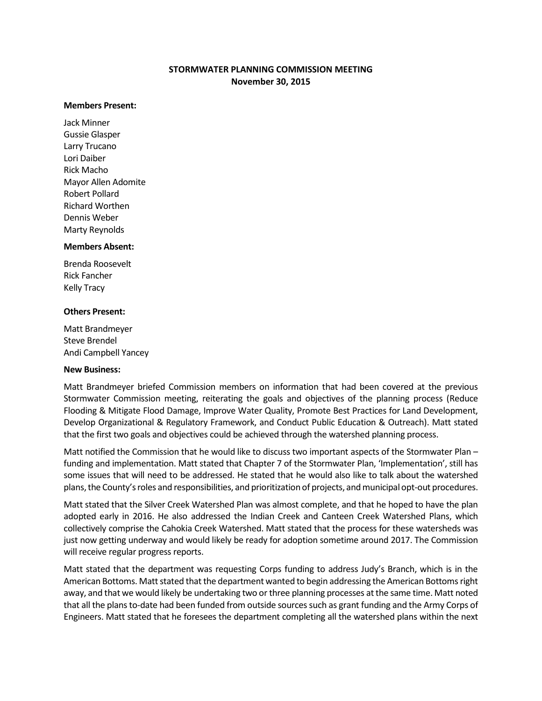# **STORMWATER PLANNING COMMISSION MEETING November 30, 2015**

#### **Members Present:**

Jack Minner Gussie Glasper Larry Trucano Lori Daiber Rick Macho Mayor Allen Adomite Robert Pollard Richard Worthen Dennis Weber Marty Reynolds

#### **Members Absent:**

Brenda Roosevelt Rick Fancher Kelly Tracy

#### **Others Present:**

Matt Brandmeyer Steve Brendel Andi Campbell Yancey

### **New Business:**

Matt Brandmeyer briefed Commission members on information that had been covered at the previous Stormwater Commission meeting, reiterating the goals and objectives of the planning process (Reduce Flooding & Mitigate Flood Damage, Improve Water Quality, Promote Best Practices for Land Development, Develop Organizational & Regulatory Framework, and Conduct Public Education & Outreach). Matt stated that the first two goals and objectives could be achieved through the watershed planning process.

Matt notified the Commission that he would like to discuss two important aspects of the Stormwater Plan – funding and implementation. Matt stated that Chapter 7 of the Stormwater Plan, 'Implementation', still has some issues that will need to be addressed. He stated that he would also like to talk about the watershed plans, the County's roles and responsibilities, and prioritization of projects, and municipal opt-out procedures.

Matt stated that the Silver Creek Watershed Plan was almost complete, and that he hoped to have the plan adopted early in 2016. He also addressed the Indian Creek and Canteen Creek Watershed Plans, which collectively comprise the Cahokia Creek Watershed. Matt stated that the process for these watersheds was just now getting underway and would likely be ready for adoption sometime around 2017. The Commission will receive regular progress reports.

Matt stated that the department was requesting Corps funding to address Judy's Branch, which is in the American Bottoms. Matt stated that the department wanted to begin addressing the American Bottoms right away, and that we would likely be undertaking two or three planning processes at the same time. Matt noted that all the plans to-date had been funded from outside sources such as grant funding and the Army Corps of Engineers. Matt stated that he foresees the department completing all the watershed plans within the next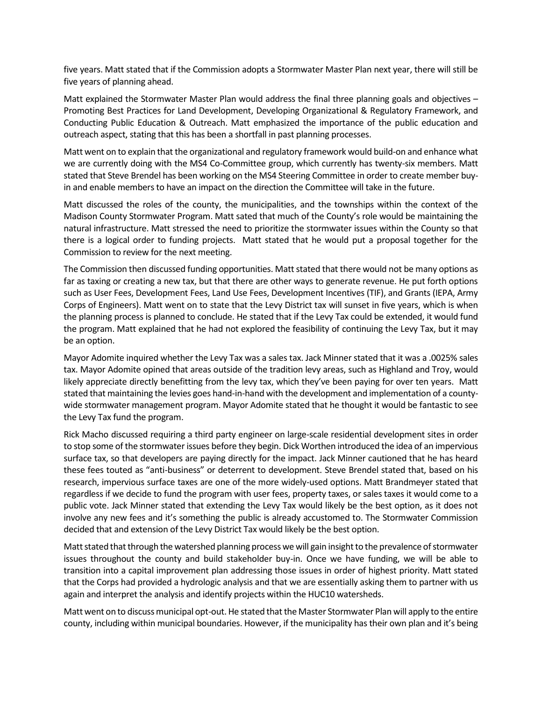five years. Matt stated that if the Commission adopts a Stormwater Master Plan next year, there will still be five years of planning ahead.

Matt explained the Stormwater Master Plan would address the final three planning goals and objectives -Promoting Best Practices for Land Development, Developing Organizational & Regulatory Framework, and Conducting Public Education & Outreach. Matt emphasized the importance of the public education and outreach aspect, stating that this has been a shortfall in past planning processes.

Matt went on to explain that the organizational and regulatory framework would build-on and enhance what we are currently doing with the MS4 Co-Committee group, which currently has twenty-six members. Matt stated that Steve Brendel has been working on the MS4 Steering Committee in order to create member buyin and enable members to have an impact on the direction the Committee will take in the future.

Matt discussed the roles of the county, the municipalities, and the townships within the context of the Madison County Stormwater Program. Matt sated that much of the County's role would be maintaining the natural infrastructure. Matt stressed the need to prioritize the stormwater issues within the County so that there is a logical order to funding projects. Matt stated that he would put a proposal together for the Commission to review for the next meeting.

The Commission then discussed funding opportunities. Matt stated that there would not be many options as far as taxing or creating a new tax, but that there are other ways to generate revenue. He put forth options such as User Fees, Development Fees, Land Use Fees, Development Incentives (TIF), and Grants (IEPA, Army Corps of Engineers). Matt went on to state that the Levy District tax will sunset in five years, which is when the planning process is planned to conclude. He stated that if the Levy Tax could be extended, it would fund the program. Matt explained that he had not explored the feasibility of continuing the Levy Tax, but it may be an option.

Mayor Adomite inquired whether the Levy Tax was a sales tax. Jack Minner stated that it was a .0025% sales tax. Mayor Adomite opined that areas outside of the tradition levy areas, such as Highland and Troy, would likely appreciate directly benefitting from the levy tax, which they've been paying for over ten years. Matt stated that maintaining the levies goes hand-in-hand with the development and implementation of a countywide stormwater management program. Mayor Adomite stated that he thought it would be fantastic to see the Levy Tax fund the program.

Rick Macho discussed requiring a third party engineer on large-scale residential development sites in order to stop some of the stormwater issues before they begin. Dick Worthen introduced the idea of an impervious surface tax, so that developers are paying directly for the impact. Jack Minner cautioned that he has heard these fees touted as "anti-business" or deterrent to development. Steve Brendel stated that, based on his research, impervious surface taxes are one of the more widely-used options. Matt Brandmeyer stated that regardless if we decide to fund the program with user fees, property taxes, or sales taxes it would come to a public vote. Jack Minner stated that extending the Levy Tax would likely be the best option, as it does not involve any new fees and it's something the public is already accustomed to. The Stormwater Commission decided that and extension of the Levy District Tax would likely be the best option.

Matt stated that through the watershed planning process we will gain insight to the prevalence of stormwater issues throughout the county and build stakeholder buy-in. Once we have funding, we will be able to transition into a capital improvement plan addressing those issues in order of highest priority. Matt stated that the Corps had provided a hydrologic analysis and that we are essentially asking them to partner with us again and interpret the analysis and identify projects within the HUC10 watersheds.

Matt went on to discuss municipal opt-out. He stated that the Master Stormwater Plan will apply to the entire county, including within municipal boundaries. However, if the municipality has their own plan and it's being